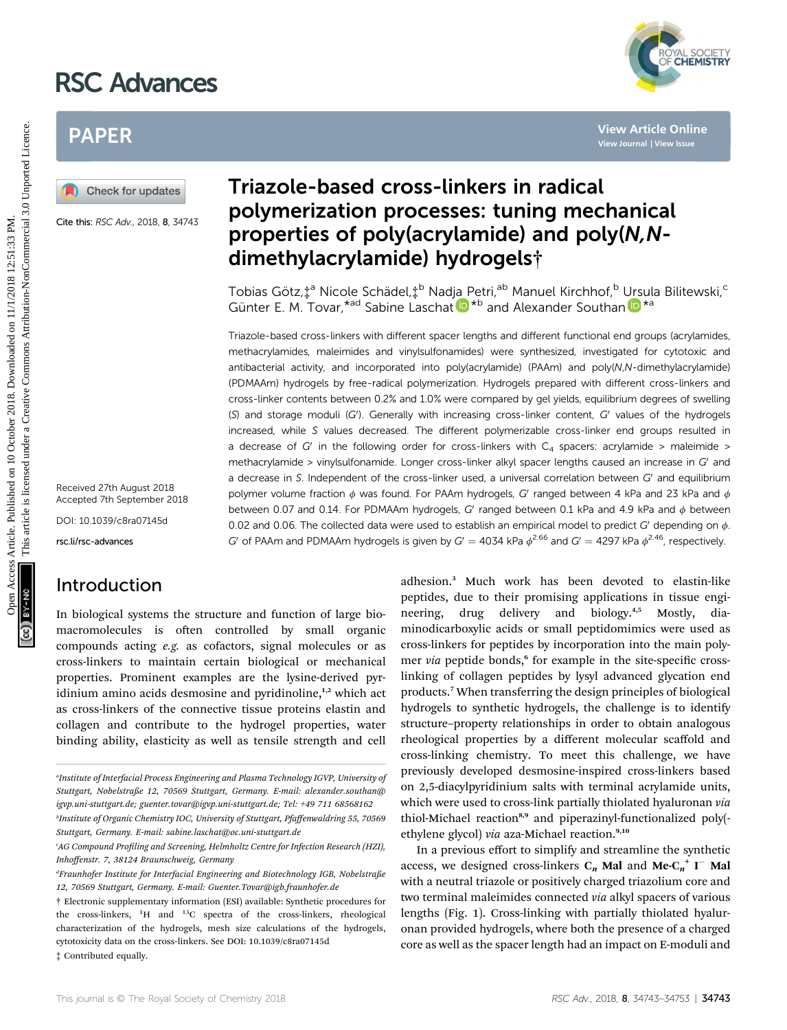# RSC Advances



# PAPER



Cite this: RSC Adv., 2018, 8, 34743

Received 27th August 2018 Accepted 7th September 2018

DOI: 10.1039/c8ra07145d

rsc.li/rsc-advances

# Introduction

In biological systems the structure and function of large biomacromolecules is often controlled by small organic compounds acting e.g. as cofactors, signal molecules or as cross-linkers to maintain certain biological or mechanical properties. Prominent examples are the lysine-derived pyridinium amino acids desmosine and pyridinoline,<sup>1,2</sup> which act as cross-linkers of the connective tissue proteins elastin and collagen and contribute to the hydrogel properties, water binding ability, elasticity as well as tensile strength and cell

# Triazole-based cross-linkers in radical polymerization processes: tuning mechanical properties of poly(acrylamide) and poly(N,Ndimethylacrylamide) hydrogels†

Tobias Götz,‡<sup>a</sup> Nicole Schädel,‡<sup>b</sup> Nadja Petri,<sup>ab</sup> Manuel Kirchhof,<sup>b</sup> Ursula Bilitewski,<sup>c</sup> Gün[t](http://orcid.org/0000-0002-1488-3903)er E. M. Tovar,<sup>\*ad</sup> Sabi[n](http://orcid.org/0000-0001-7530-1690)e Laschat  $\mathbf{D}^{*b}$  and Alexander Southan  $\mathbf{D}^{*a}$ 

Triazole-based cross-linkers with different spacer lengths and different functional end groups (acrylamides, methacrylamides, maleimides and vinylsulfonamides) were synthesized, investigated for cytotoxic and antibacterial activity, and incorporated into poly(acrylamide) (PAAm) and poly(N,N-dimethylacrylamide) (PDMAAm) hydrogels by free-radical polymerization. Hydrogels prepared with different cross-linkers and cross-linker contents between 0.2% and 1.0% were compared by gel yields, equilibrium degrees of swelling (S) and storage moduli (G'). Generally with increasing cross-linker content, G' values of the hydrogels increased, while S values decreased. The different polymerizable cross-linker end groups resulted in a decrease of G' in the following order for cross-linkers with  $C_4$  spacers: acrylamide > maleimide > methacrylamide > vinylsulfonamide. Longer cross-linker alkyl spacer lengths caused an increase in  $G'$  and a decrease in S. Independent of the cross-linker used, a universal correlation between  $G'$  and equilibrium polymer volume fraction  $\phi$  was found. For PAAm hydrogels, G' ranged between 4 kPa and 23 kPa and  $\phi$ between 0.07 and 0.14. For PDMAAm hydrogels, G' ranged between 0.1 kPa and 4.9 kPa and  $\phi$  between 0.02 and 0.06. The collected data were used to establish an empirical model to predict G' depending on  $\phi$ G' of PAAm and PDMAAm hydrogels is given by  $G' = 4034$  kPa  $\phi^{2.66}$  and  $G' = 4297$  kPa  $\phi^{2.46}$ , respectively. PAPER<br>
Triazole-based cross-linkers in radical<br>  $\sigma_{\text{time}}$  energy and a server and a server and a server and a server and a server and a server and a server and a server and a server and a server and a server and a server

adhesion.<sup>3</sup> Much work has been devoted to elastin-like peptides, due to their promising applications in tissue engineering, drug delivery and biology.<sup>4,5</sup> Mostly, diaminodicarboxylic acids or small peptidomimics were used as cross-linkers for peptides by incorporation into the main polymer via peptide bonds,<sup>6</sup> for example in the site-specific crosslinking of collagen peptides by lysyl advanced glycation end products.<sup>7</sup> When transferring the design principles of biological hydrogels to synthetic hydrogels, the challenge is to identify structure–property relationships in order to obtain analogous rheological properties by a different molecular scaffold and cross-linking chemistry. To meet this challenge, we have previously developed desmosine-inspired cross-linkers based on 2,5-diacylpyridinium salts with terminal acrylamide units, which were used to cross-link partially thiolated hyaluronan via thiol-Michael reaction<sup>8,9</sup> and piperazinyl-functionalized poly(ethylene glycol) via aza-Michael reaction.<sup>9,10</sup>

In a previous effort to simplify and streamline the synthetic access, we designed cross-linkers  $C_n$  Mal and Me- $C_n^+$  I<sup>-</sup> Mal with a neutral triazole or positively charged triazolium core and two terminal maleimides connected via alkyl spacers of various lengths (Fig. 1). Cross-linking with partially thiolated hyaluronan provided hydrogels, where both the presence of a charged core as well as the spacer length had an impact on E-moduli and

Institute of Interfacial Process Engineering and Plasma Technology IGVP, University of Stuttgart, Nobelstraße 12, 70569 Stuttgart, Germany. E-mail: alexander.southan@ igvp.uni-stuttgart.de; guenter.tovar@igvp.uni-stuttgart.de; Tel: +49 711 68568162

b Institute of Organic Chemistry IOC, University of Stuttgart, Pfaffenwaldring 55, 70569 Stuttgart, Germany. E-mail: sabine.laschat@oc.uni-stuttgart.de

 $^{\circ}$ AG Compound Profiling and Screening, Helmholtz Centre for Infection Research (HZI), Inhoffenstr. 7, 38124 Braunschweig, Germany

d Fraunhofer Institute for Interfacial Engineering and Biotechnology IGB, Nobelstraße 12, 70569 Stuttgart, Germany. E-mail: Guenter.Tovar@igb.fraunhofer.de

<sup>†</sup> Electronic supplementary information (ESI) available: Synthetic procedures for the cross-linkers, <sup>1</sup>H and <sup>13</sup>C spectra of the cross-linkers, rheological characterization of the hydrogels, mesh size calculations of the hydrogels, cytotoxicity data on the cross-linkers. See DOI: 10.1039/c8ra07145d ‡ Contributed equally.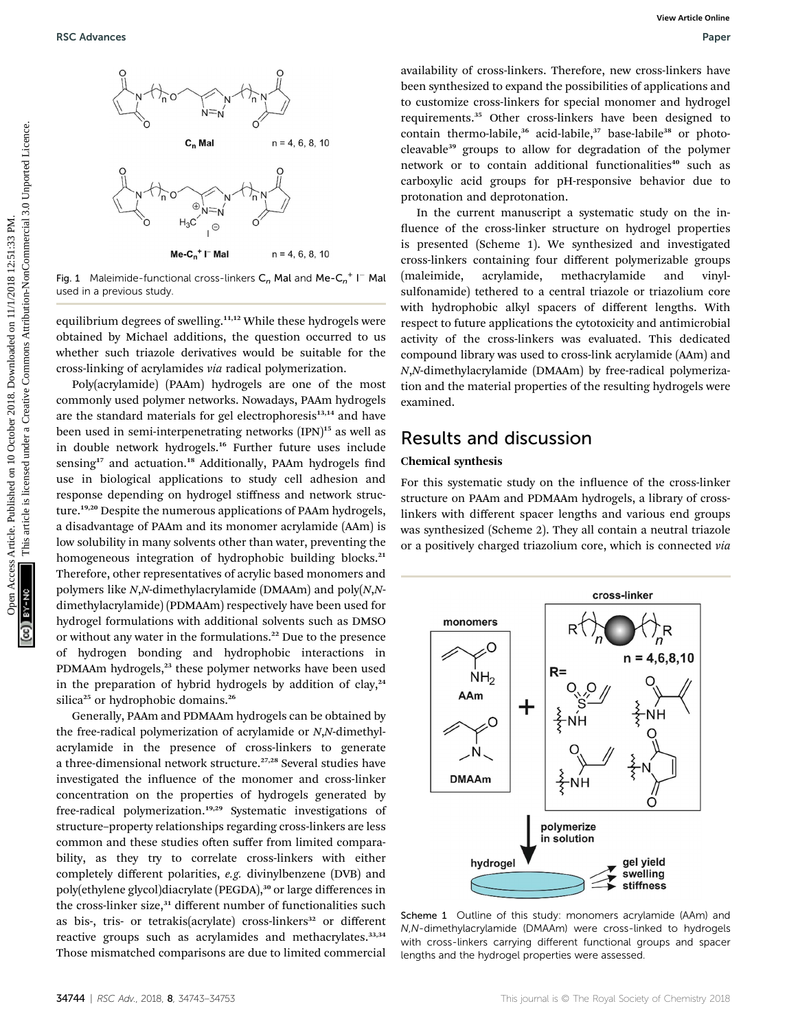

Fig. 1 Maleimide-functional cross-linkers  $C_n$  Mal and Me- $C_n^+$  I<sup>-</sup> Mal used in a previous study.

equilibrium degrees of swelling.<sup>11,12</sup> While these hydrogels were obtained by Michael additions, the question occurred to us whether such triazole derivatives would be suitable for the cross-linking of acrylamides via radical polymerization.

Poly(acrylamide) (PAAm) hydrogels are one of the most commonly used polymer networks. Nowadays, PAAm hydrogels are the standard materials for gel electrophoresis<sup>13,14</sup> and have been used in semi-interpenetrating networks (IPN)<sup>15</sup> as well as in double network hydrogels.<sup>16</sup> Further future uses include sensing<sup>17</sup> and actuation.<sup>18</sup> Additionally, PAAm hydrogels find use in biological applications to study cell adhesion and response depending on hydrogel stiffness and network structure.19,20 Despite the numerous applications of PAAm hydrogels, a disadvantage of PAAm and its monomer acrylamide (AAm) is low solubility in many solvents other than water, preventing the homogeneous integration of hydrophobic building blocks.<sup>21</sup> Therefore, other representatives of acrylic based monomers and polymers like N,N-dimethylacrylamide (DMAAm) and poly(N,Ndimethylacrylamide) (PDMAAm) respectively have been used for hydrogel formulations with additional solvents such as DMSO or without any water in the formulations.<sup>22</sup> Due to the presence of hydrogen bonding and hydrophobic interactions in PDMAAm hydrogels,<sup>23</sup> these polymer networks have been used in the preparation of hybrid hydrogels by addition of clay, $24$ silica<sup>25</sup> or hydrophobic domains.<sup>26</sup> **EXAMPRES**<br>
OPEN ACCESS ARTICLE TO  $\sim$  **ACCESS ARTICLE IS ARTICLE IS ARTICLE IS ARTICLE TO THE CHAPTER COMMON COMMON COMMON COMMON COMMON COMMON COMMON COMMON COMMON COMMON COMMON COMMON COMMON COMMON COMMON COMMON COMMO** 

Generally, PAAm and PDMAAm hydrogels can be obtained by the free-radical polymerization of acrylamide or N,N-dimethylacrylamide in the presence of cross-linkers to generate a three-dimensional network structure.<sup>27,28</sup> Several studies have investigated the influence of the monomer and cross-linker concentration on the properties of hydrogels generated by free-radical polymerization.<sup>19,29</sup> Systematic investigations of structure–property relationships regarding cross-linkers are less common and these studies often suffer from limited comparability, as they try to correlate cross-linkers with either completely different polarities, e.g. divinylbenzene (DVB) and poly(ethylene glycol)diacrylate (PEGDA),<sup>30</sup> or large differences in the cross-linker size,<sup>31</sup> different number of functionalities such as bis-, tris- or tetrakis(acrylate) cross-linkers<sup>32</sup> or different reactive groups such as acrylamides and methacrylates.<sup>33,34</sup> Those mismatched comparisons are due to limited commercial

availability of cross-linkers. Therefore, new cross-linkers have been synthesized to expand the possibilities of applications and to customize cross-linkers for special monomer and hydrogel requirements.<sup>35</sup> Other cross-linkers have been designed to contain thermo-labile,<sup>36</sup> acid-labile,<sup>37</sup> base-labile<sup>38</sup> or photocleavable<sup>39</sup> groups to allow for degradation of the polymer network or to contain additional functionalities<sup>40</sup> such as carboxylic acid groups for pH-responsive behavior due to protonation and deprotonation.

In the current manuscript a systematic study on the in fluence of the cross-linker structure on hydrogel properties is presented (Scheme 1). We synthesized and investigated cross-linkers containing four different polymerizable groups (maleimide, acrylamide, methacrylamide and vinylsulfonamide) tethered to a central triazole or triazolium core with hydrophobic alkyl spacers of different lengths. With respect to future applications the cytotoxicity and antimicrobial activity of the cross-linkers was evaluated. This dedicated compound library was used to cross-link acrylamide (AAm) and N,N-dimethylacrylamide (DMAAm) by free-radical polymerization and the material properties of the resulting hydrogels were examined.

## Results and discussion

### Chemical synthesis

For this systematic study on the influence of the cross-linker structure on PAAm and PDMAAm hydrogels, a library of crosslinkers with different spacer lengths and various end groups was synthesized (Scheme 2). They all contain a neutral triazole or a positively charged triazolium core, which is connected via



Scheme 1 Outline of this study: monomers acrylamide (AAm) and N,N-dimethylacrylamide (DMAAm) were cross-linked to hydrogels with cross-linkers carrying different functional groups and spacer lengths and the hydrogel properties were assessed.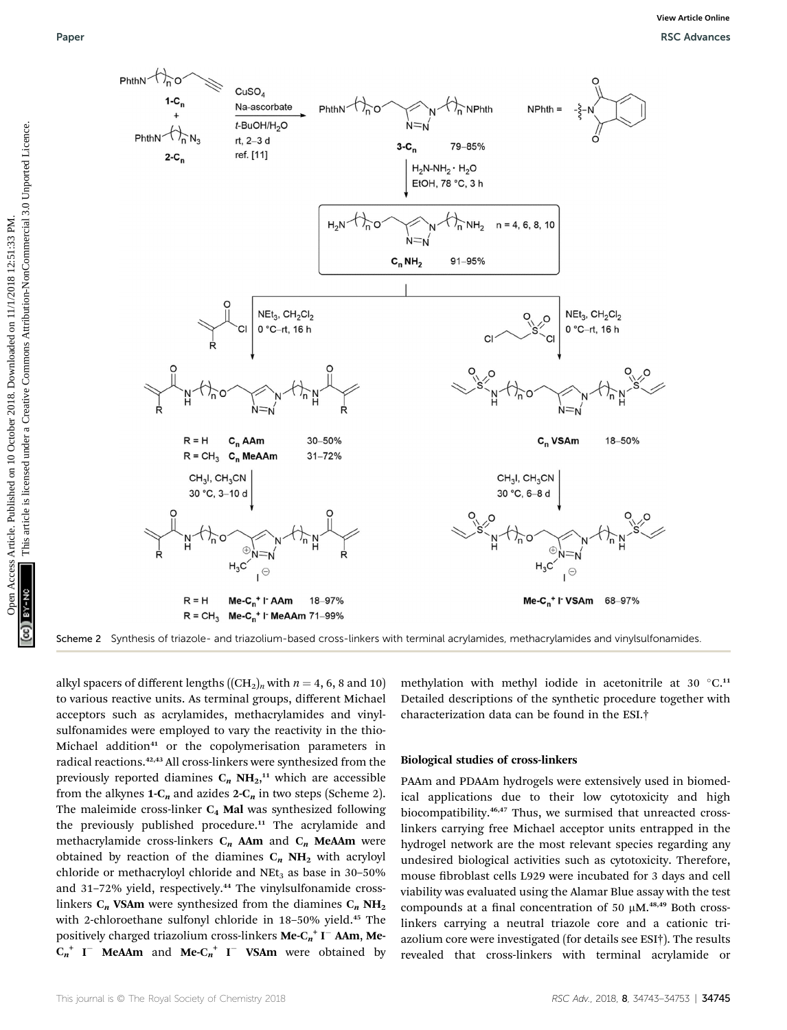

Scheme 2 Synthesis of triazole- and triazolium-based cross-linkers with terminal acrylamides, methacrylamides and vinylsulfonamides.

alkyl spacers of different lengths  $((CH_2)_n)$  with  $n = 4, 6, 8$  and 10) to various reactive units. As terminal groups, different Michael acceptors such as acrylamides, methacrylamides and vinylsulfonamides were employed to vary the reactivity in the thio-Michael addition<sup>41</sup> or the copolymerisation parameters in radical reactions.42,43 All cross-linkers were synthesized from the previously reported diamines  $C_n$  NH<sub>2</sub>,<sup>11</sup> which are accessible from the alkynes  $1-C_n$  and azides  $2-C_n$  in two steps (Scheme 2). The maleimide cross-linker  $C_4$  Mal was synthesized following the previously published procedure.<sup>11</sup> The acrylamide and methacrylamide cross-linkers  $C_n$  AAm and  $C_n$  MeAAm were obtained by reaction of the diamines  $C_n$  NH<sub>2</sub> with acryloyl chloride or methacryloyl chloride and  $NEt<sub>3</sub>$  as base in 30-50% and 31-72% yield, respectively.<sup>44</sup> The vinylsulfonamide crosslinkers  $C_n$  VSAm were synthesized from the diamines  $C_n$  NH<sub>2</sub> with 2-chloroethane sulfonyl chloride in 18-50% yield.<sup>45</sup> The positively charged triazolium cross-linkers  $\mathbf{Me}{\cdot}\mathbf{C_n}^{+}\mathbf{I}^{-}$  AAm,  $\mathbf{Me}{\cdot}$  $C_n^+$  I<sup>-</sup> MeAAm and Me- $C_n^+$  I<sup>-</sup> VSAm were obtained by

methylation with methyl iodide in acetonitrile at 30 $°C$ .<sup>11</sup> Detailed descriptions of the synthetic procedure together with characterization data can be found in the ESI.†

### Biological studies of cross-linkers

PAAm and PDAAm hydrogels were extensively used in biomedical applications due to their low cytotoxicity and high biocompatibility.46,47 Thus, we surmised that unreacted crosslinkers carrying free Michael acceptor units entrapped in the hydrogel network are the most relevant species regarding any undesired biological activities such as cytotoxicity. Therefore, mouse fibroblast cells L929 were incubated for 3 days and cell viability was evaluated using the Alamar Blue assay with the test compounds at a final concentration of 50  $\mu$ M.<sup>48,49</sup> Both crosslinkers carrying a neutral triazole core and a cationic triazolium core were investigated (for details see ESI†). The results revealed that cross-linkers with terminal acrylamide or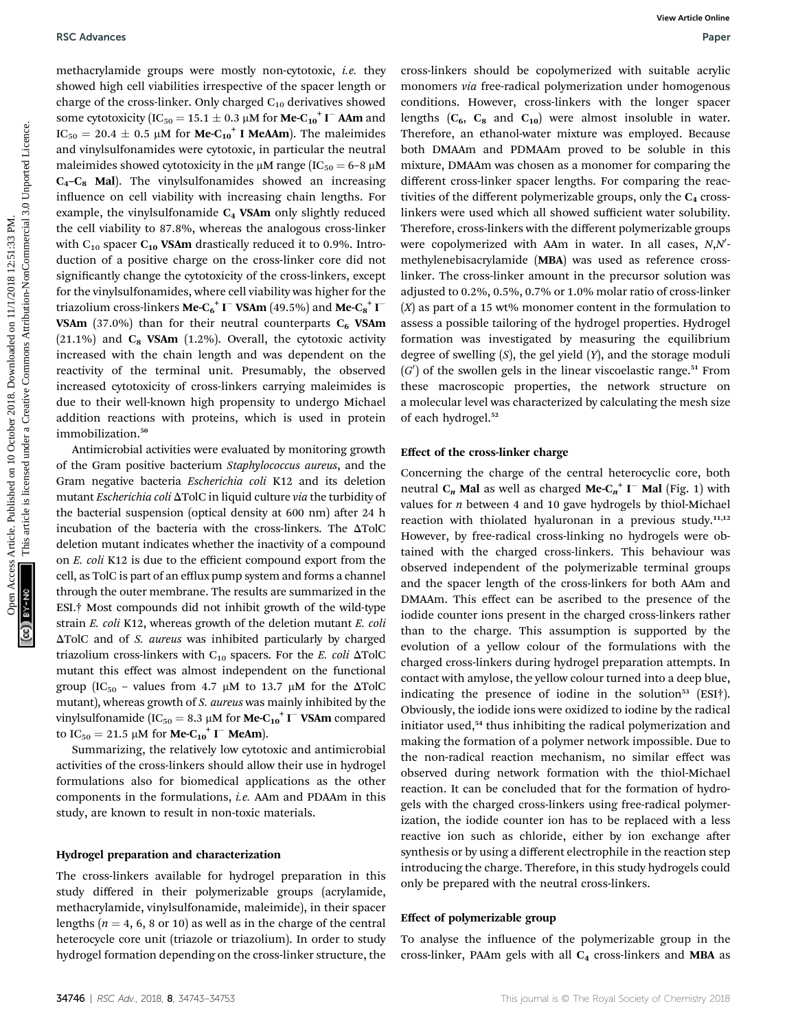methacrylamide groups were mostly non-cytotoxic, i.e. they showed high cell viabilities irrespective of the spacer length or charge of the cross-linker. Only charged  $C_{10}$  derivatives showed some cytotoxicity (IC<sub>50</sub> = 15.1  $\pm$  0.3 µM for **Me-C<sub>10</sub><sup>+</sup> I<sup>-</sup> AAm** and  $IC_{50} = 20.4 \pm 0.5 \mu M$  for **Me-C<sub>10</sub><sup>+</sup> I MeAAm**). The maleimides and vinylsulfonamides were cytotoxic, in particular the neutral maleimides showed cytotoxicity in the  $\mu$ M range (IC<sub>50</sub> = 6-8  $\mu$ M  $C_4-C_8$  Mal). The vinylsulfonamides showed an increasing influence on cell viability with increasing chain lengths. For example, the vinylsulfonamide  $C_4$  VSAm only slightly reduced the cell viability to 87.8%, whereas the analogous cross-linker with  $C_{10}$  spacer  $C_{10}$  VSAm drastically reduced it to 0.9%. Introduction of a positive charge on the cross-linker core did not significantly change the cytotoxicity of the cross-linkers, except for the vinylsulfonamides, where cell viability was higher for the triazolium cross-linkers **Me-C** $_6^+$  **I**  $^-$  **VSAm** (49.5%) and **Me-C** $_8^+$  **I**  $^-$ VSAm (37.0%) than for their neutral counterparts  $C_6$  VSAm  $(21.1\%)$  and  $C_8$  VSAm  $(1.2\%)$ . Overall, the cytotoxic activity increased with the chain length and was dependent on the reactivity of the terminal unit. Presumably, the observed increased cytotoxicity of cross-linkers carrying maleimides is due to their well-known high propensity to undergo Michael addition reactions with proteins, which is used in protein immobilization.<sup>50</sup> BSC Advances Computer Computer Computer Computer Computer Computer Computer Computer Computer Computer Computer Computer Computer Computer Computer Computer Computer Computer Computer Commons Commons Commons Commons Commo

Antimicrobial activities were evaluated by monitoring growth of the Gram positive bacterium Staphylococcus aureus, and the Gram negative bacteria Escherichia coli K12 and its deletion mutant *Escherichia coli*  $\Delta TolC$  in liquid culture *via* the turbidity of the bacterial suspension (optical density at 600 nm) after 24 h incubation of the bacteria with the cross-linkers. The  $\Delta \text{TolC}$ deletion mutant indicates whether the inactivity of a compound on E. coli K12 is due to the efficient compound export from the cell, as TolC is part of an efflux pump system and forms a channel through the outer membrane. The results are summarized in the ESI.† Most compounds did not inhibit growth of the wild-type strain E. coli K12, whereas growth of the deletion mutant E. coli  $\Delta$ TolC and of *S. aureus* was inhibited particularly by charged triazolium cross-linkers with  $C_{10}$  spacers. For the E. coli  $\Delta TolC$ mutant this effect was almost independent on the functional group (IC<sub>50</sub> – values from 4.7  $\mu$ M to 13.7  $\mu$ M for the  $\Delta$ TolC mutant), whereas growth of S. aureus was mainly inhibited by the vinylsulfonamide (IC<sub>50</sub> = 8.3 µM for **Me-C<sub>10</sub><sup>+</sup> I<sup>-</sup> VSAm** compared to  $IC_{50} = 21.5 \mu M$  for **Me-C<sub>10</sub><sup>+</sup> I<sup>-</sup> MeAm**).

Summarizing, the relatively low cytotoxic and antimicrobial activities of the cross-linkers should allow their use in hydrogel formulations also for biomedical applications as the other components in the formulations, i.e. AAm and PDAAm in this study, are known to result in non-toxic materials.

#### Hydrogel preparation and characterization

The cross-linkers available for hydrogel preparation in this study differed in their polymerizable groups (acrylamide, methacrylamide, vinylsulfonamide, maleimide), in their spacer lengths ( $n = 4$ , 6, 8 or 10) as well as in the charge of the central heterocycle core unit (triazole or triazolium). In order to study hydrogel formation depending on the cross-linker structure, the

cross-linkers should be copolymerized with suitable acrylic monomers via free-radical polymerization under homogenous conditions. However, cross-linkers with the longer spacer lengths  $(C_6, C_8$  and  $C_{10}$ ) were almost insoluble in water. Therefore, an ethanol-water mixture was employed. Because both DMAAm and PDMAAm proved to be soluble in this mixture, DMAAm was chosen as a monomer for comparing the different cross-linker spacer lengths. For comparing the reactivities of the different polymerizable groups, only the  $C_4$  crosslinkers were used which all showed sufficient water solubility. Therefore, cross-linkers with the different polymerizable groups were copolymerized with AAm in water. In all cases,  $N,\!N'$ methylenebisacrylamide (MBA) was used as reference crosslinker. The cross-linker amount in the precursor solution was adjusted to 0.2%, 0.5%, 0.7% or 1.0% molar ratio of cross-linker  $(X)$  as part of a 15 wt% monomer content in the formulation to assess a possible tailoring of the hydrogel properties. Hydrogel formation was investigated by measuring the equilibrium degree of swelling  $(S)$ , the gel yield  $(Y)$ , and the storage moduli  $(G')$  of the swollen gels in the linear viscoelastic range.<sup>51</sup> From these macroscopic properties, the network structure on a molecular level was characterized by calculating the mesh size of each hydrogel.<sup>52</sup>

#### Effect of the cross-linker charge

Concerning the charge of the central heterocyclic core, both neutral  $C_n$  Mal as well as charged Me- $C_n^+$  I $^-$  Mal (Fig. 1) with values for  $n$  between 4 and 10 gave hydrogels by thiol-Michael reaction with thiolated hyaluronan in a previous study.<sup>11,12</sup> However, by free-radical cross-linking no hydrogels were obtained with the charged cross-linkers. This behaviour was observed independent of the polymerizable terminal groups and the spacer length of the cross-linkers for both AAm and DMAAm. This effect can be ascribed to the presence of the iodide counter ions present in the charged cross-linkers rather than to the charge. This assumption is supported by the evolution of a yellow colour of the formulations with the charged cross-linkers during hydrogel preparation attempts. In contact with amylose, the yellow colour turned into a deep blue, indicating the presence of iodine in the solution<sup>53</sup> (ESI†). Obviously, the iodide ions were oxidized to iodine by the radical initiator used,<sup>54</sup> thus inhibiting the radical polymerization and making the formation of a polymer network impossible. Due to the non-radical reaction mechanism, no similar effect was observed during network formation with the thiol-Michael reaction. It can be concluded that for the formation of hydrogels with the charged cross-linkers using free-radical polymerization, the iodide counter ion has to be replaced with a less reactive ion such as chloride, either by ion exchange after synthesis or by using a different electrophile in the reaction step introducing the charge. Therefore, in this study hydrogels could only be prepared with the neutral cross-linkers.

#### Effect of polymerizable group

To analyse the influence of the polymerizable group in the cross-linker, PAAm gels with all  $C_4$  cross-linkers and MBA as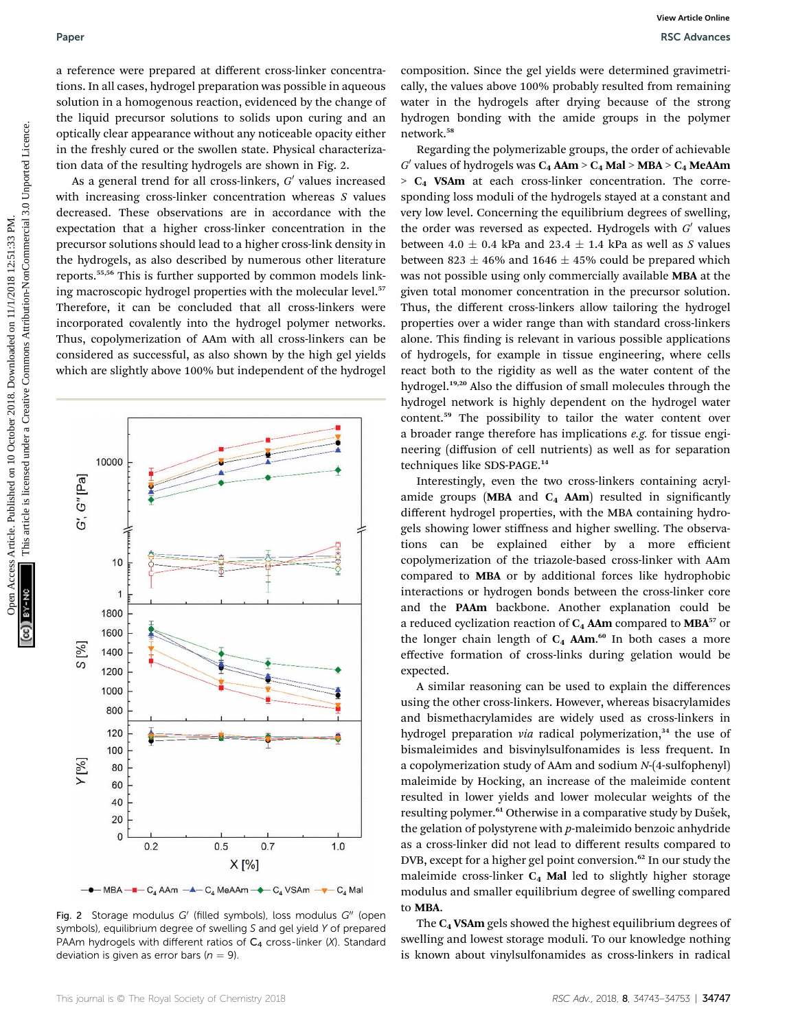a reference were prepared at different cross-linker concentrations. In all cases, hydrogel preparation was possible in aqueous solution in a homogenous reaction, evidenced by the change of the liquid precursor solutions to solids upon curing and an optically clear appearance without any noticeable opacity either in the freshly cured or the swollen state. Physical characterization data of the resulting hydrogels are shown in Fig. 2.

As a general trend for all cross-linkers,  $G'$  values increased with increasing cross-linker concentration whereas S values decreased. These observations are in accordance with the expectation that a higher cross-linker concentration in the precursor solutions should lead to a higher cross-link density in the hydrogels, as also described by numerous other literature reports.55,56 This is further supported by common models linking macroscopic hydrogel properties with the molecular level.<sup>57</sup> Therefore, it can be concluded that all cross-linkers were incorporated covalently into the hydrogel polymer networks. Thus, copolymerization of AAm with all cross-linkers can be considered as successful, as also shown by the high gel yields which are slightly above 100% but independent of the hydrogel

Fig. 2 Storage modulus  $G'$  (filled symbols), loss modulus  $G''$  (open symbols), equilibrium degree of swelling S and gel yield Y of prepared PAAm hydrogels with different ratios of  $C_4$  cross-linker (X). Standard deviation is given as error bars ( $n = 9$ ).

—●— MBA —■— C<sub>4</sub> AAm —▲— C<sub>4</sub> MeAAm —◆— C<sub>4</sub> VSAm —▼— C<sub>4</sub> Mal

 $0.5$ 

 $X[\%]$ 

 $0.7$ 

 $1.0$ 

composition. Since the gel yields were determined gravimetrically, the values above 100% probably resulted from remaining water in the hydrogels after drying because of the strong hydrogen bonding with the amide groups in the polymer network.<sup>58</sup>

Regarding the polymerizable groups, the order of achievable  $G'$  values of hydrogels was  $C_4$  AAm >  $C_4$  Mal > MBA >  $C_4$  MeAAm  $> C<sub>4</sub>$  VSAm at each cross-linker concentration. The corresponding loss moduli of the hydrogels stayed at a constant and very low level. Concerning the equilibrium degrees of swelling, the order was reversed as expected. Hydrogels with  $G'$  values between 4.0  $\pm$  0.4 kPa and 23.4  $\pm$  1.4 kPa as well as S values between 823  $\pm$  46% and 1646  $\pm$  45% could be prepared which was not possible using only commercially available MBA at the given total monomer concentration in the precursor solution. Thus, the different cross-linkers allow tailoring the hydrogel properties over a wider range than with standard cross-linkers alone. This finding is relevant in various possible applications of hydrogels, for example in tissue engineering, where cells react both to the rigidity as well as the water content of the hydrogel.19,20 Also the diffusion of small molecules through the hydrogel network is highly dependent on the hydrogel water content.<sup>59</sup> The possibility to tailor the water content over a broader range therefore has implications e.g. for tissue engineering (diffusion of cell nutrients) as well as for separation techniques like SDS-PAGE.<sup>14</sup> Paper<br>
Access Article 2018. The content of the composite income composite income composite income composite income composite income composite income composite income composite income composite income composite income compo

Interestingly, even the two cross-linkers containing acrylamide groups (MBA and  $C_4$  AAm) resulted in significantly different hydrogel properties, with the MBA containing hydrogels showing lower stiffness and higher swelling. The observations can be explained either by a more efficient copolymerization of the triazole-based cross-linker with AAm compared to MBA or by additional forces like hydrophobic interactions or hydrogen bonds between the cross-linker core and the PAAm backbone. Another explanation could be a reduced cyclization reaction of  $C_4$  AAm compared to MBA<sup>57</sup> or the longer chain length of  $C_4$  AAm.<sup>60</sup> In both cases a more effective formation of cross-links during gelation would be expected.

A similar reasoning can be used to explain the differences using the other cross-linkers. However, whereas bisacrylamides and bismethacrylamides are widely used as cross-linkers in hydrogel preparation via radical polymerization, $34$  the use of bismaleimides and bisvinylsulfonamides is less frequent. In a copolymerization study of AAm and sodium N-(4-sulfophenyl) maleimide by Hocking, an increase of the maleimide content resulted in lower yields and lower molecular weights of the resulting polymer.<sup>61</sup> Otherwise in a comparative study by Dušek, the gelation of polystyrene with  $p$ -maleimido benzoic anhydride as a cross-linker did not lead to different results compared to DVB, except for a higher gel point conversion.<sup>62</sup> In our study the maleimide cross-linker  $C_4$  Mal led to slightly higher storage modulus and smaller equilibrium degree of swelling compared to MBA.

The C4 VSAm gels showed the highest equilibrium degrees of swelling and lowest storage moduli. To our knowledge nothing is known about vinylsulfonamides as cross-linkers in radical



1600

1400

> > $0.2$

 $[%]$ 

 $\overline{6}$ 

 $Y[%]$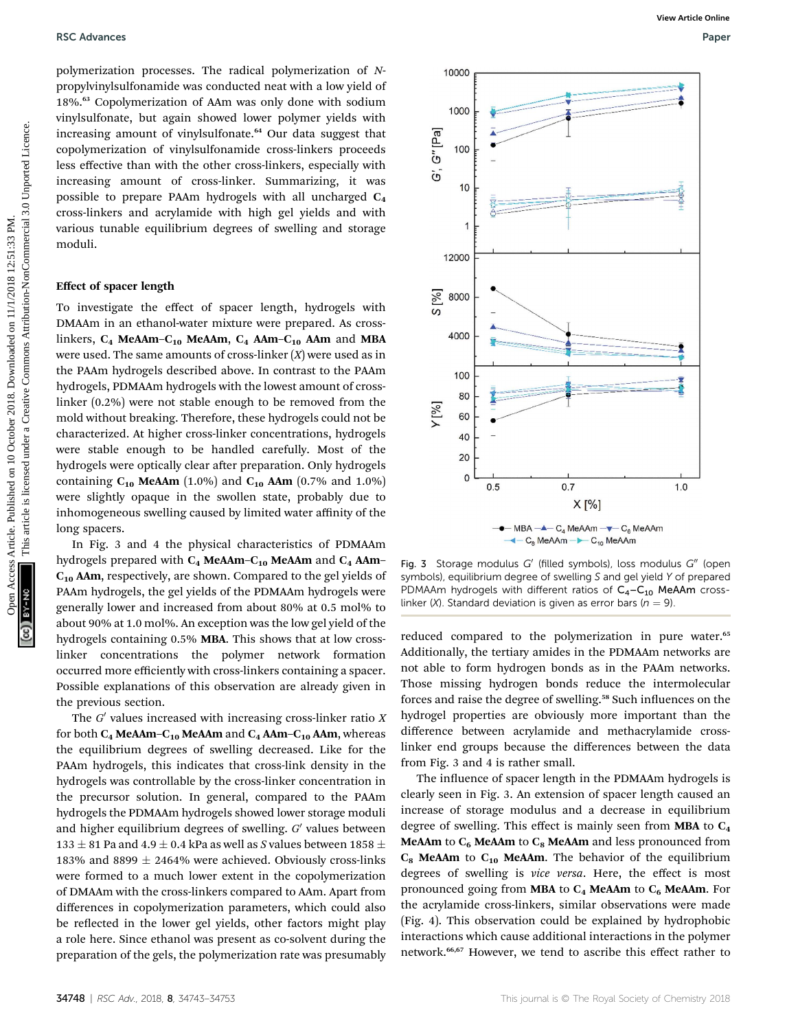#### RSC Advances **RSC Advances** Paper **RSC Advances** Paper **Paper Paper Paper Paper** Paper Paper Paper Paper Paper Paper Paper Paper Paper Paper Paper Paper Paper Paper Paper Paper Paper Paper Paper Paper Paper Paper Paper Pap

polymerization processes. The radical polymerization of Npropylvinylsulfonamide was conducted neat with a low yield of 18%.<sup>63</sup> Copolymerization of AAm was only done with sodium vinylsulfonate, but again showed lower polymer yields with increasing amount of vinylsulfonate.<sup>64</sup> Our data suggest that copolymerization of vinylsulfonamide cross-linkers proceeds less effective than with the other cross-linkers, especially with increasing amount of cross-linker. Summarizing, it was possible to prepare PAAm hydrogels with all uncharged C4 cross-linkers and acrylamide with high gel yields and with various tunable equilibrium degrees of swelling and storage moduli.

#### Effect of spacer length

To investigate the effect of spacer length, hydrogels with DMAAm in an ethanol-water mixture were prepared. As crosslinkers,  $C_4$  MeAAm– $C_{10}$  MeAAm,  $C_4$  AAm– $C_{10}$  AAm and MBA were used. The same amounts of cross-linker  $(X)$  were used as in the PAAm hydrogels described above. In contrast to the PAAm hydrogels, PDMAAm hydrogels with the lowest amount of crosslinker (0.2%) were not stable enough to be removed from the mold without breaking. Therefore, these hydrogels could not be characterized. At higher cross-linker concentrations, hydrogels were stable enough to be handled carefully. Most of the hydrogels were optically clear after preparation. Only hydrogels containing  $C_{10}$  MeAAm (1.0%) and  $C_{10}$  AAm (0.7% and 1.0%) were slightly opaque in the swollen state, probably due to inhomogeneous swelling caused by limited water affinity of the long spacers.

In Fig. 3 and 4 the physical characteristics of PDMAAm hydrogels prepared with  $C_4$  MeAAm– $C_{10}$  MeAAm and  $C_4$  AAm–  $C_{10}$  AAm, respectively, are shown. Compared to the gel yields of PAAm hydrogels, the gel yields of the PDMAAm hydrogels were generally lower and increased from about 80% at 0.5 mol% to about 90% at 1.0 mol%. An exception was the low gel yield of the hydrogels containing 0.5% MBA. This shows that at low crosslinker concentrations the polymer network formation occurred more efficiently with cross-linkers containing a spacer. Possible explanations of this observation are already given in the previous section.

The  $G'$  values increased with increasing cross-linker ratio  $X$ for both  $C_4$  MeAAm– $C_{10}$  MeAAm and  $C_4$  AAm– $C_{10}$  AAm, whereas the equilibrium degrees of swelling decreased. Like for the PAAm hydrogels, this indicates that cross-link density in the hydrogels was controllable by the cross-linker concentration in the precursor solution. In general, compared to the PAAm hydrogels the PDMAAm hydrogels showed lower storage moduli and higher equilibrium degrees of swelling.  $G'$  values between 133  $\pm$  81 Pa and 4.9  $\pm$  0.4 kPa as well as S values between 1858  $\pm$ 183% and 8899  $\pm$  2464% were achieved. Obviously cross-links were formed to a much lower extent in the copolymerization of DMAAm with the cross-linkers compared to AAm. Apart from differences in copolymerization parameters, which could also be reflected in the lower gel yields, other factors might play a role here. Since ethanol was present as co-solvent during the preparation of the gels, the polymerization rate was presumably



Fig. 3 Storage modulus  $G'$  (filled symbols), loss modulus  $G''$  (open symbols), equilibrium degree of swelling S and gel yield Y of prepared PDMAAm hydrogels with different ratios of  $C_4 - C_{10}$  MeAAm crosslinker (X). Standard deviation is given as error bars ( $n = 9$ ).

reduced compared to the polymerization in pure water.<sup>65</sup> Additionally, the tertiary amides in the PDMAAm networks are not able to form hydrogen bonds as in the PAAm networks. Those missing hydrogen bonds reduce the intermolecular forces and raise the degree of swelling.<sup>58</sup> Such influences on the hydrogel properties are obviously more important than the difference between acrylamide and methacrylamide crosslinker end groups because the differences between the data from Fig. 3 and 4 is rather small.

The influence of spacer length in the PDMAAm hydrogels is clearly seen in Fig. 3. An extension of spacer length caused an increase of storage modulus and a decrease in equilibrium degree of swelling. This effect is mainly seen from **MBA** to  $C_4$ MeAAm to  $C_6$  MeAAm to  $C_8$  MeAAm and less pronounced from  $C_8$  MeAAm to  $C_{10}$  MeAAm. The behavior of the equilibrium degrees of swelling is vice versa. Here, the effect is most pronounced going from MBA to  $C_4$  MeAAm to  $C_6$  MeAAm. For the acrylamide cross-linkers, similar observations were made (Fig. 4). This observation could be explained by hydrophobic interactions which cause additional interactions in the polymer network.<sup>66,67</sup> However, we tend to ascribe this effect rather to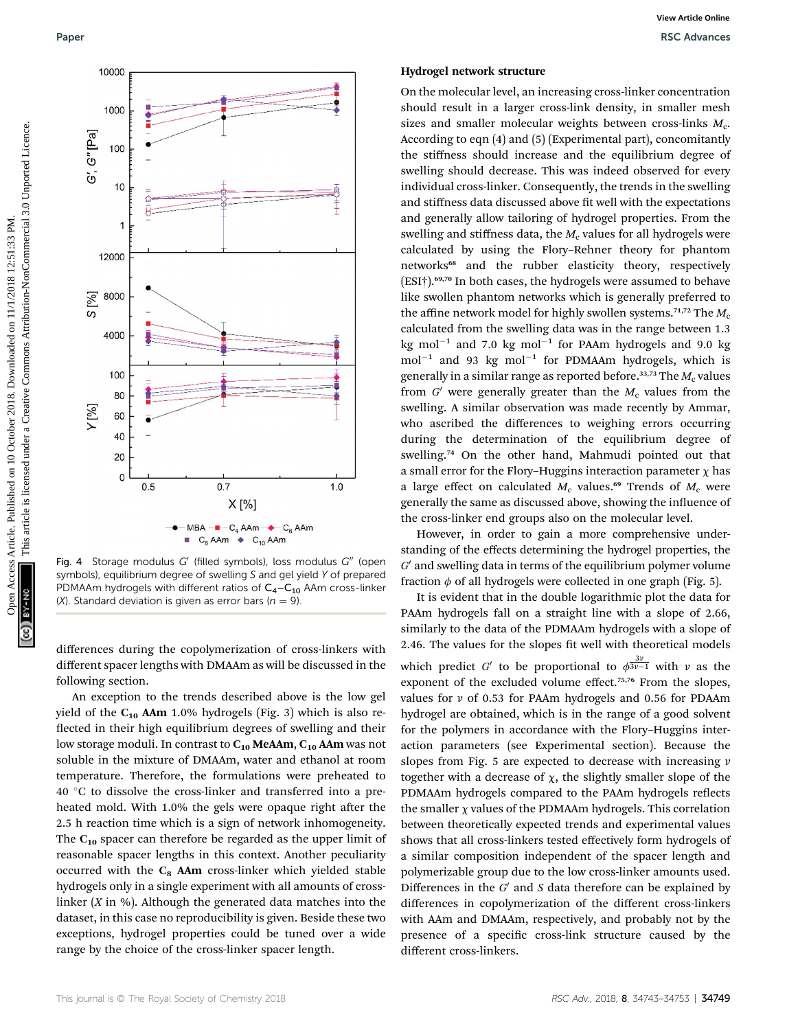

Fig. 4 Storage modulus  $G'$  (filled symbols), loss modulus  $G''$  (open symbols), equilibrium degree of swelling S and gel yield Y of prepared PDMAAm hydrogels with different ratios of  $C_4-C_{10}$  AAm cross-linker (X). Standard deviation is given as error bars ( $n = 9$ ).

differences during the copolymerization of cross-linkers with different spacer lengths with DMAAm as will be discussed in the following section.

An exception to the trends described above is the low gel yield of the  $C_{10}$  AAm 1.0% hydrogels (Fig. 3) which is also reflected in their high equilibrium degrees of swelling and their low storage moduli. In contrast to  $C_{10}$  MeAAm,  $C_{10}$  AAm was not soluble in the mixture of DMAAm, water and ethanol at room temperature. Therefore, the formulations were preheated to 40 °C to dissolve the cross-linker and transferred into a preheated mold. With 1.0% the gels were opaque right after the 2.5 h reaction time which is a sign of network inhomogeneity. The  $C_{10}$  spacer can therefore be regarded as the upper limit of reasonable spacer lengths in this context. Another peculiarity occurred with the  $C_8$  AAm cross-linker which yielded stable hydrogels only in a single experiment with all amounts of crosslinker  $(X \text{ in } \%)$ . Although the generated data matches into the dataset, in this case no reproducibility is given. Beside these two exceptions, hydrogel properties could be tuned over a wide range by the choice of the cross-linker spacer length.

#### Hydrogel network structure

On the molecular level, an increasing cross-linker concentration should result in a larger cross-link density, in smaller mesh sizes and smaller molecular weights between cross-links  $M_c$ . According to eqn (4) and (5) (Experimental part), concomitantly the stiffness should increase and the equilibrium degree of swelling should decrease. This was indeed observed for every individual cross-linker. Consequently, the trends in the swelling and stiffness data discussed above fit well with the expectations and generally allow tailoring of hydrogel properties. From the swelling and stiffness data, the  $M_c$  values for all hydrogels were calculated by using the Flory–Rehner theory for phantom networks<sup>68</sup> and the rubber elasticity theory, respectively (ESI†).69,70 In both cases, the hydrogels were assumed to behave like swollen phantom networks which is generally preferred to the affine network model for highly swollen systems.<sup>71,72</sup> The  $M_c$ calculated from the swelling data was in the range between 1.3 kg mol $^{-1}$  and 7.0 kg mol $^{-1}$  for PAAm hydrogels and 9.0 kg  $mol^{-1}$  and 93 kg mol<sup>-1</sup> for PDMAAm hydrogels, which is generally in a similar range as reported before.<sup>33,73</sup> The  $M_c$  values from  $G'$  were generally greater than the  $M_c$  values from the swelling. A similar observation was made recently by Ammar, who ascribed the differences to weighing errors occurring during the determination of the equilibrium degree of swelling.<sup>74</sup> On the other hand, Mahmudi pointed out that a small error for the Flory–Huggins interaction parameter  $\chi$  has a large effect on calculated  $M_c$  values.<sup>69</sup> Trends of  $M_c$  were generally the same as discussed above, showing the influence of the cross-linker end groups also on the molecular level.

However, in order to gain a more comprehensive understanding of the effects determining the hydrogel properties, the  $G'$  and swelling data in terms of the equilibrium polymer volume fraction  $\phi$  of all hydrogels were collected in one graph (Fig. 5).

It is evident that in the double logarithmic plot the data for PAAm hydrogels fall on a straight line with a slope of 2.66, similarly to the data of the PDMAAm hydrogels with a slope of 2.46. The values for the slopes fit well with theoretical models which predict G' to be proportional to  $\phi^{\frac{3v}{3v-1}}$  with v as the exponent of the excluded volume effect.<sup>75,76</sup> From the slopes, values for  $\nu$  of 0.53 for PAAm hydrogels and 0.56 for PDAAm hydrogel are obtained, which is in the range of a good solvent for the polymers in accordance with the Flory–Huggins interaction parameters (see Experimental section). Because the slopes from Fig. 5 are expected to decrease with increasing  $\nu$ together with a decrease of  $\chi$ , the slightly smaller slope of the PDMAAm hydrogels compared to the PAAm hydrogels reflects the smaller  $\chi$  values of the PDMAAm hydrogels. This correlation between theoretically expected trends and experimental values shows that all cross-linkers tested effectively form hydrogels of a similar composition independent of the spacer length and polymerizable group due to the low cross-linker amounts used. Differences in the  $G'$  and S data therefore can be explained by differences in copolymerization of the different cross-linkers with AAm and DMAAm, respectively, and probably not by the presence of a specific cross-link structure caused by the different cross-linkers.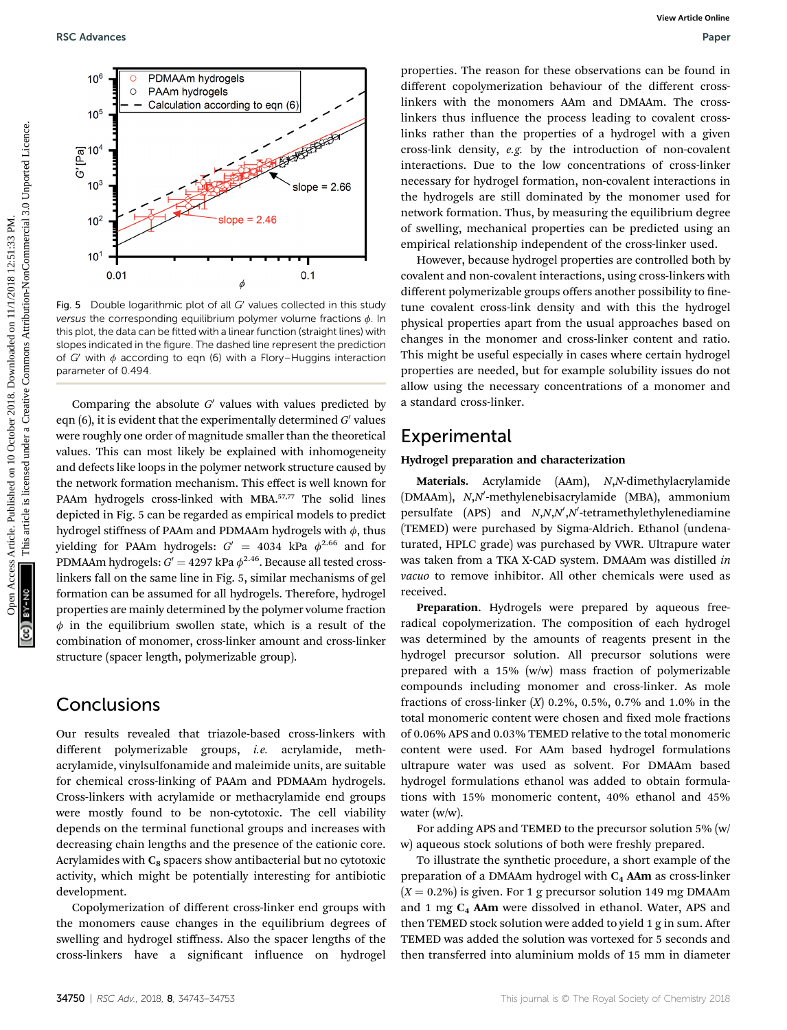

Fig. 5 Double logarithmic plot of all  $G'$  values collected in this study versus the corresponding equilibrium polymer volume fractions  $\phi$ . In this plot, the data can be fitted with a linear function (straight lines) with slopes indicated in the figure. The dashed line represent the prediction of G' with  $\phi$  according to eqn (6) with a Flory–Huggins interaction parameter of 0.494.

Comparing the absolute  $G'$  values with values predicted by eqn  $(6)$ , it is evident that the experimentally determined  $G'$  values were roughly one order of magnitude smaller than the theoretical values. This can most likely be explained with inhomogeneity and defects like loops in the polymer network structure caused by the network formation mechanism. This effect is well known for PAAm hydrogels cross-linked with MBA.<sup>57,77</sup> The solid lines depicted in Fig. 5 can be regarded as empirical models to predict hydrogel stiffness of PAAm and PDMAAm hydrogels with  $\phi$ , thus yielding for PAAm hydrogels:  $G' = 4034$  kPa  $\phi^{2.66}$  and for PDMAAm hydrogels:  $G' = 4297$  kPa  $\phi^{2.46}$ . Because all tested crosslinkers fall on the same line in Fig. 5, similar mechanisms of gel formation can be assumed for all hydrogels. Therefore, hydrogel properties are mainly determined by the polymer volume fraction  $\phi$  in the equilibrium swollen state, which is a result of the combination of monomer, cross-linker amount and cross-linker structure (spacer length, polymerizable group).

# **Conclusions**

Our results revealed that triazole-based cross-linkers with different polymerizable groups, i.e. acrylamide, methacrylamide, vinylsulfonamide and maleimide units, are suitable for chemical cross-linking of PAAm and PDMAAm hydrogels. Cross-linkers with acrylamide or methacrylamide end groups were mostly found to be non-cytotoxic. The cell viability depends on the terminal functional groups and increases with decreasing chain lengths and the presence of the cationic core. Acrylamides with  $C_8$  spacers show antibacterial but no cytotoxic activity, which might be potentially interesting for antibiotic development.

Copolymerization of different cross-linker end groups with the monomers cause changes in the equilibrium degrees of swelling and hydrogel stiffness. Also the spacer lengths of the cross-linkers have a significant influence on hydrogel

properties. The reason for these observations can be found in different copolymerization behaviour of the different crosslinkers with the monomers AAm and DMAAm. The crosslinkers thus influence the process leading to covalent crosslinks rather than the properties of a hydrogel with a given cross-link density, e.g. by the introduction of non-covalent interactions. Due to the low concentrations of cross-linker necessary for hydrogel formation, non-covalent interactions in the hydrogels are still dominated by the monomer used for network formation. Thus, by measuring the equilibrium degree of swelling, mechanical properties can be predicted using an empirical relationship independent of the cross-linker used.

However, because hydrogel properties are controlled both by covalent and non-covalent interactions, using cross-linkers with different polymerizable groups offers another possibility to finetune covalent cross-link density and with this the hydrogel physical properties apart from the usual approaches based on changes in the monomer and cross-linker content and ratio. This might be useful especially in cases where certain hydrogel properties are needed, but for example solubility issues do not allow using the necessary concentrations of a monomer and a standard cross-linker.

## Experimental

### Hydrogel preparation and characterization

Materials. Acrylamide (AAm), N,N-dimethylacrylamide (DMAAm), N,N'-methylenebisacrylamide (MBA), ammonium persulfate (APS) and  $N, N, N', N'$ -tetramethylethylenediamine (TEMED) were purchased by Sigma-Aldrich. Ethanol (undenaturated, HPLC grade) was purchased by VWR. Ultrapure water was taken from a TKA X-CAD system. DMAAm was distilled in vacuo to remove inhibitor. All other chemicals were used as received.

Preparation. Hydrogels were prepared by aqueous freeradical copolymerization. The composition of each hydrogel was determined by the amounts of reagents present in the hydrogel precursor solution. All precursor solutions were prepared with a 15% (w/w) mass fraction of polymerizable compounds including monomer and cross-linker. As mole fractions of cross-linker  $(X)$  0.2%, 0.5%, 0.7% and 1.0% in the total monomeric content were chosen and fixed mole fractions of 0.06% APS and 0.03% TEMED relative to the total monomeric content were used. For AAm based hydrogel formulations ultrapure water was used as solvent. For DMAAm based hydrogel formulations ethanol was added to obtain formulations with 15% monomeric content, 40% ethanol and 45% water (w/w).

For adding APS and TEMED to the precursor solution 5% (w/ w) aqueous stock solutions of both were freshly prepared.

To illustrate the synthetic procedure, a short example of the preparation of a DMAAm hydrogel with  $C_4$  AAm as cross-linker  $(X = 0.2\%)$  is given. For 1 g precursor solution 149 mg DMAAm and 1 mg  $C_4$  AAm were dissolved in ethanol. Water, APS and then TEMED stock solution were added to yield  $1$  g in sum. After TEMED was added the solution was vortexed for 5 seconds and then transferred into aluminium molds of 15 mm in diameter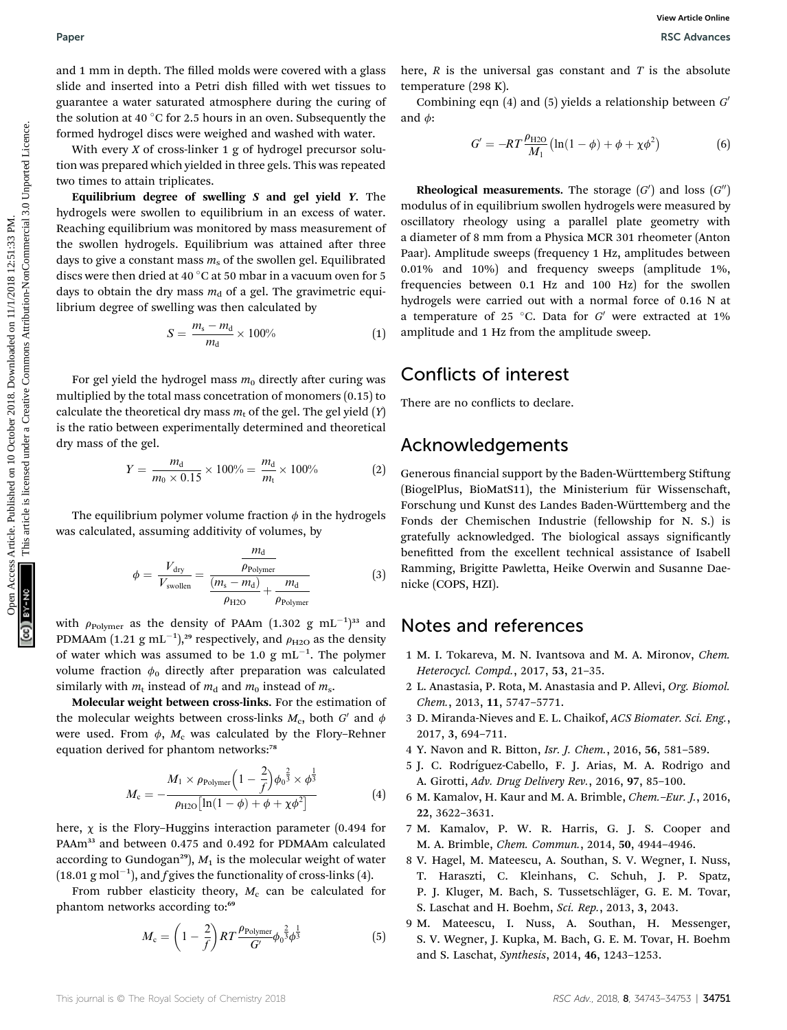and 1 mm in depth. The filled molds were covered with a glass slide and inserted into a Petri dish filled with wet tissues to guarantee a water saturated atmosphere during the curing of the solution at 40  $\degree$ C for 2.5 hours in an oven. Subsequently the formed hydrogel discs were weighed and washed with water.

With every  $X$  of cross-linker 1 g of hydrogel precursor solution was prepared which yielded in three gels. This was repeated two times to attain triplicates.

Equilibrium degree of swelling  $S$  and gel yield  $Y$ . The hydrogels were swollen to equilibrium in an excess of water. Reaching equilibrium was monitored by mass measurement of the swollen hydrogels. Equilibrium was attained after three days to give a constant mass  $m<sub>s</sub>$  of the swollen gel. Equilibrated discs were then dried at 40  $\degree$ C at 50 mbar in a vacuum oven for 5 days to obtain the dry mass  $m_d$  of a gel. The gravimetric equilibrium degree of swelling was then calculated by

$$
S = \frac{m_s - m_d}{m_d} \times 100\% \tag{1}
$$

For gel yield the hydrogel mass  $m_0$  directly after curing was multiplied by the total mass concetration of monomers (0.15) to calculate the theoretical dry mass  $m_t$  of the gel. The gel yield  $(Y)$ is the ratio between experimentally determined and theoretical dry mass of the gel.

$$
Y = \frac{m_d}{m_0 \times 0.15} \times 100\% = \frac{m_d}{m_t} \times 100\% \tag{2}
$$

The equilibrium polymer volume fraction  $\phi$  in the hydrogels was calculated, assuming additivity of volumes, by

$$
\phi = \frac{V_{\text{dry}}}{V_{\text{swollen}}} = \frac{\frac{m_{\text{d}}}{\rho_{\text{Polymer}}}}{\frac{(m_{\text{s}} - m_{\text{d}})}{\rho_{\text{H2O}}} + \frac{m_{\text{d}}}{\rho_{\text{Polymer}}}}
$$
(3)

with  $\rho_{\rm{Polymer}}$  as the density of PAAm  $(1.302 \text{ g } \text{mL}^{-1})^{33}$  and PDMAAm  $(1.21~{\rm g}~{\rm mL}^{-1})^{29}$  respectively, and  $\rho_{\rm H2O}$  as the density of water which was assumed to be 1.0  $g \text{ mL}^{-1}$ . The polymer volume fraction  $\phi_0$  directly after preparation was calculated similarly with  $m_t$  instead of  $m_d$  and  $m_0$  instead of  $m_s$ .

Molecular weight between cross-links. For the estimation of the molecular weights between cross-links  $M_c$ , both  $G'$  and  $\phi$ were used. From  $\phi$ ,  $M_c$  was calculated by the Flory–Rehner equation derived for phantom networks:<sup>78</sup>

$$
M_{\rm c} = -\frac{M_1 \times \rho_{\rm Polymer} \left(1 - \frac{2}{f}\right) \phi_0^{\frac{2}{3}} \times \phi^{\frac{1}{3}}}{\rho_{\rm H2O} \left[\ln(1 - \phi) + \phi + \chi \phi^2\right]}
$$
(4)

here,  $\chi$  is the Flory–Huggins interaction parameter (0.494 for PAAm<sup>33</sup> and between 0.475 and 0.492 for PDMAAm calculated according to Gundogan<sup>29</sup>),  $M_1$  is the molecular weight of water  $(18.01 \text{ g mol}^{-1})$ , and f gives the functionality of cross-links (4).

From rubber elasticity theory,  $M_c$  can be calculated for phantom networks according to:<sup>69</sup>

$$
M_{\rm c} = \left(1 - \frac{2}{f}\right) RT \frac{\rho_{\rm Polymer}}{G'} \phi_0^{\frac{2}{3}} \phi^{\frac{1}{3}} \tag{5}
$$

here,  $R$  is the universal gas constant and  $T$  is the absolute temperature (298 K).

Combining eqn  $(4)$  and  $(5)$  yields a relationship between  $G'$ and  $\phi$ :

$$
G' = -RT \frac{\rho_{\text{H2O}}}{M_1} \left( \ln(1 - \phi) + \phi + \chi \phi^2 \right) \tag{6}
$$

**Rheological measurements.** The storage  $(G')$  and loss  $(G'')$ modulus of in equilibrium swollen hydrogels were measured by oscillatory rheology using a parallel plate geometry with a diameter of 8 mm from a Physica MCR 301 rheometer (Anton Paar). Amplitude sweeps (frequency 1 Hz, amplitudes between 0.01% and 10%) and frequency sweeps (amplitude 1%, frequencies between 0.1 Hz and 100 Hz) for the swollen hydrogels were carried out with a normal force of 0.16 N at a temperature of 25 °C. Data for  $G'$  were extracted at 1% amplitude and 1 Hz from the amplitude sweep. Paper<br>
and 1 nm in depth. The dimension for the control on the internation control on 10 October 2018. The control of the solution of the solution of the solution of the solution of the solution of the solution-of the sol

# Conflicts of interest

There are no conflicts to declare.

# Acknowledgements

Generous financial support by the Baden-Württemberg Stiftung (BiogelPlus, BioMatS11), the Ministerium für Wissenschaft, Forschung und Kunst des Landes Baden-Württemberg and the Fonds der Chemischen Industrie (fellowship for N. S.) is gratefully acknowledged. The biological assays significantly benefitted from the excellent technical assistance of Isabell Ramming, Brigitte Pawletta, Heike Overwin and Susanne Daenicke (COPS, HZI).

# Notes and references

- 1 M. I. Tokareva, M. N. Ivantsova and M. A. Mironov, Chem. Heterocycl. Compd., 2017, 53, 21–35.
- 2 L. Anastasia, P. Rota, M. Anastasia and P. Allevi, Org. Biomol. Chem., 2013, 11, 5747–5771.
- 3 D. Miranda-Nieves and E. L. Chaikof, ACS Biomater. Sci. Eng., 2017, 3, 694–711.
- 4 Y. Navon and R. Bitton, Isr. J. Chem., 2016, 56, 581–589.
- 5 J. C. Rodríguez-Cabello, F. J. Arias, M. A. Rodrigo and A. Girotti, Adv. Drug Delivery Rev., 2016, 97, 85–100.
- 6 M. Kamalov, H. Kaur and M. A. Brimble, Chem.–Eur. J., 2016, 22, 3622–3631.
- 7 M. Kamalov, P. W. R. Harris, G. J. S. Cooper and M. A. Brimble, Chem. Commun., 2014, 50, 4944–4946.
- 8 V. Hagel, M. Mateescu, A. Southan, S. V. Wegner, I. Nuss, T. Haraszti, C. Kleinhans, C. Schuh, J. P. Spatz, P. J. Kluger, M. Bach, S. Tussetschläger, G. E. M. Tovar, S. Laschat and H. Boehm, Sci. Rep., 2013, 3, 2043.
- 9 M. Mateescu, I. Nuss, A. Southan, H. Messenger, S. V. Wegner, J. Kupka, M. Bach, G. E. M. Tovar, H. Boehm and S. Laschat, Synthesis, 2014, 46, 1243–1253.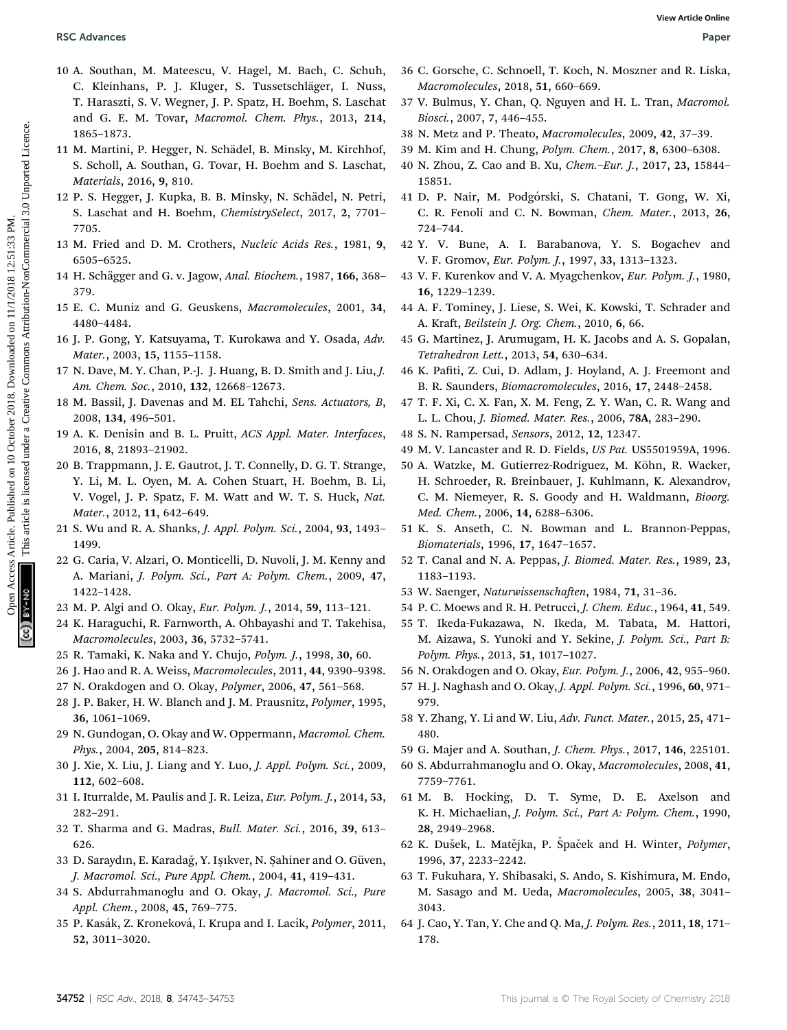- 10 A. Southan, M. Mateescu, V. Hagel, M. Bach, C. Schuh, C. Kleinhans, P. J. Kluger, S. Tussetschläger, I. Nuss, T. Haraszti, S. V. Wegner, J. P. Spatz, H. Boehm, S. Laschat and G. E. M. Tovar, Macromol. Chem. Phys., 2013, 214, 1865–1873. **BSC Advances**<br>
10 A Southam, N. Maccess Articles. Published on 10 October 2018. Downloaded on 11 I. Tran, Moreover 2018. The Commons Article of the Creative Commons Attached on 11/1. Downloaded on 11/1. Tran, Moreover 201
	- 11 M. Martini, P. Hegger, N. Schädel, B. Minsky, M. Kirchhof, S. Scholl, A. Southan, G. Tovar, H. Boehm and S. Laschat, Materials, 2016, 9, 810.
	- 12 P. S. Hegger, J. Kupka, B. B. Minsky, N. Schädel, N. Petri, S. Laschat and H. Boehm, ChemistrySelect, 2017, 2, 7701– 7705.
	- 13 M. Fried and D. M. Crothers, Nucleic Acids Res., 1981, 9, 6505–6525.
	- 14 H. Schägger and G. v. Jagow, Anal. Biochem., 1987, 166, 368-379.
	- 15 E. C. Muniz and G. Geuskens, Macromolecules, 2001, 34, 4480–4484.
	- 16 J. P. Gong, Y. Katsuyama, T. Kurokawa and Y. Osada, Adv. Mater., 2003, 15, 1155–1158.
	- 17 N. Dave, M. Y. Chan, P.-J. J. Huang, B. D. Smith and J. Liu, J. Am. Chem. Soc., 2010, 132, 12668–12673.
	- 18 M. Bassil, J. Davenas and M. EL Tahchi, Sens. Actuators, B, 2008, 134, 496–501.
	- 19 A. K. Denisin and B. L. Pruitt, ACS Appl. Mater. Interfaces, 2016, 8, 21893–21902.
	- 20 B. Trappmann, J. E. Gautrot, J. T. Connelly, D. G. T. Strange, Y. Li, M. L. Oyen, M. A. Cohen Stuart, H. Boehm, B. Li, V. Vogel, J. P. Spatz, F. M. Watt and W. T. S. Huck, Nat. Mater., 2012, 11, 642–649.
	- 21 S. Wu and R. A. Shanks, J. Appl. Polym. Sci., 2004, 93, 1493– 1499.
	- 22 G. Caria, V. Alzari, O. Monticelli, D. Nuvoli, J. M. Kenny and A. Mariani, J. Polym. Sci., Part A: Polym. Chem., 2009, 47, 1422–1428.
	- 23 M. P. Algi and O. Okay, Eur. Polym. J., 2014, 59, 113–121.
	- 24 K. Haraguchi, R. Farnworth, A. Ohbayashi and T. Takehisa, Macromolecules, 2003, 36, 5732–5741.
	- 25 R. Tamaki, K. Naka and Y. Chujo, Polym. J., 1998, 30, 60.
	- 26 J. Hao and R. A. Weiss, Macromolecules, 2011, 44, 9390–9398.
	- 27 N. Orakdogen and O. Okay, Polymer, 2006, 47, 561–568.
	- 28 J. P. Baker, H. W. Blanch and J. M. Prausnitz, Polymer, 1995, 36, 1061–1069.
	- 29 N. Gundogan, O. Okay and W. Oppermann, Macromol. Chem. Phys., 2004, 205, 814–823.
	- 30 J. Xie, X. Liu, J. Liang and Y. Luo, J. Appl. Polym. Sci., 2009, 112, 602–608.
	- 31 I. Iturralde, M. Paulis and J. R. Leiza, Eur. Polym. J., 2014, 53, 282–291.
	- 32 T. Sharma and G. Madras, Bull. Mater. Sci., 2016, 39, 613– 626.
	- 33 D. Saraydın, E. Karadağ, Y. Işıkver, N. Şahiner and O. Güven, J. Macromol. Sci., Pure Appl. Chem., 2004, 41, 419–431.
	- 34 S. Abdurrahmanoglu and O. Okay, J. Macromol. Sci., Pure Appl. Chem., 2008, 45, 769–775.
	- 35 P. Kasák, Z. Kroneková, I. Krupa and I. Lacík, Polymer, 2011, 52, 3011–3020.
- 36 C. Gorsche, C. Schnoell, T. Koch, N. Moszner and R. Liska, Macromolecules, 2018, 51, 660–669.
- 37 V. Bulmus, Y. Chan, Q. Nguyen and H. L. Tran, Macromol. Biosci., 2007, 7, 446–455.
- 38 N. Metz and P. Theato, Macromolecules, 2009, 42, 37–39.
- 39 M. Kim and H. Chung, Polym. Chem., 2017, 8, 6300–6308.
- 40 N. Zhou, Z. Cao and B. Xu, Chem.–Eur. J., 2017, 23, 15844– 15851.
- 41 D. P. Nair, M. Podg´orski, S. Chatani, T. Gong, W. Xi, C. R. Fenoli and C. N. Bowman, Chem. Mater., 2013, 26, 724–744.
- 42 Y. V. Bune, A. I. Barabanova, Y. S. Bogachev and V. F. Gromov, Eur. Polym. J., 1997, 33, 1313–1323.
- 43 V. F. Kurenkov and V. A. Myagchenkov, Eur. Polym. J., 1980, 16, 1229–1239.
- 44 A. F. Tominey, J. Liese, S. Wei, K. Kowski, T. Schrader and A. Kraft, Beilstein J. Org. Chem., 2010, 6, 66.
- 45 G. Martinez, J. Arumugam, H. K. Jacobs and A. S. Gopalan, Tetrahedron Lett., 2013, 54, 630–634.
- 46 K. Pati, Z. Cui, D. Adlam, J. Hoyland, A. J. Freemont and B. R. Saunders, Biomacromolecules, 2016, 17, 2448–2458.
- 47 T. F. Xi, C. X. Fan, X. M. Feng, Z. Y. Wan, C. R. Wang and L. L. Chou, J. Biomed. Mater. Res., 2006, 78A, 283–290.
- 48 S. N. Rampersad, Sensors, 2012, 12, 12347.
- 49 M. V. Lancaster and R. D. Fields, US Pat. US5501959A, 1996.
- 50 A. Watzke, M. Gutierrez-Rodriguez, M. Köhn, R. Wacker, H. Schroeder, R. Breinbauer, J. Kuhlmann, K. Alexandrov, C. M. Niemeyer, R. S. Goody and H. Waldmann, Bioorg. Med. Chem., 2006, 14, 6288–6306.
- 51 K. S. Anseth, C. N. Bowman and L. Brannon-Peppas, Biomaterials, 1996, 17, 1647–1657.
- 52 T. Canal and N. A. Peppas, J. Biomed. Mater. Res., 1989, 23, 1183–1193.
- 53 W. Saenger, Naturwissenschaften, 1984, 71, 31-36.
- 54 P. C. Moews and R. H. Petrucci, J. Chem. Educ., 1964, 41, 549.
- 55 T. Ikeda-Fukazawa, N. Ikeda, M. Tabata, M. Hattori, M. Aizawa, S. Yunoki and Y. Sekine, J. Polym. Sci., Part B: Polym. Phys., 2013, 51, 1017–1027.
- 56 N. Orakdogen and O. Okay, Eur. Polym. J., 2006, 42, 955–960.
- 57 H. J. Naghash and O. Okay, J. Appl. Polym. Sci., 1996, 60, 971– 979.
- 58 Y. Zhang, Y. Li and W. Liu, Adv. Funct. Mater., 2015, 25, 471– 480.
- 59 G. Majer and A. Southan, J. Chem. Phys., 2017, 146, 225101.
- 60 S. Abdurrahmanoglu and O. Okay, Macromolecules, 2008, 41, 7759–7761.
- 61 M. B. Hocking, D. T. Syme, D. E. Axelson and K. H. Michaelian, J. Polym. Sci., Part A: Polym. Chem., 1990, 28, 2949–2968.
- 62 K. Dušek, L. Matějka, P. Špaček and H. Winter, Polymer, 1996, 37, 2233–2242.
- 63 T. Fukuhara, Y. Shibasaki, S. Ando, S. Kishimura, M. Endo, M. Sasago and M. Ueda, Macromolecules, 2005, 38, 3041– 3043.
- 64 J. Cao, Y. Tan, Y. Che and Q. Ma, J. Polym. Res., 2011, 18, 171– 178.